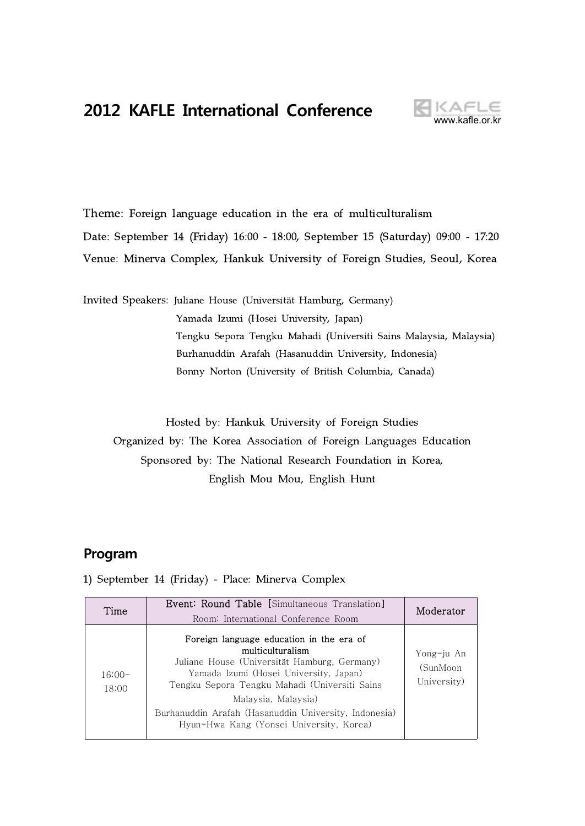# **2012 KAFLE International Conference**



# Theme: Foreign language education in the era of multiculturalism Date: September 14 (Friday) 16:00 - 18:00, September 15 (Saturday) 09:00 - 17:20 Venue: Minerva Complex, Hankuk University of Foreign Studies, Seoul, Korea

Invited Speakers: Juliane House (Universität Hamburg, Germany) Yamada Izumi (Hosei University, Japan) Tengku Sepora Tengku Mahadi (Universiti Sains Malaysia, Malaysia) Burhanuddin Arafah (Hasanuddin University, Indonesia) Bonny Norton (University of British Columbia, Canada)

Hosted by: Hankuk University of Foreign Studies Organized by: The Korea Association of Foreign Languages Education Sponsored by: The National Research Foundation in Korea, English Mou Mou, English Hunt

### **Program**

| Time              | <b>Event: Round Table [Simultaneous Translation]</b><br>Room: International Conference Room                                                                                                                                                                                                                                         | Moderator                             |
|-------------------|-------------------------------------------------------------------------------------------------------------------------------------------------------------------------------------------------------------------------------------------------------------------------------------------------------------------------------------|---------------------------------------|
| $16:00-$<br>18:00 | Foreign language education in the era of<br>multiculturalism<br>Juliane House (Universität Hamburg, Germany)<br>Yamada Izumi (Hosei University, Japan)<br>Tengku Sepora Tengku Mahadi (Universiti Sains<br>Malaysia, Malaysia)<br>Burhanuddin Arafah (Hasanuddin University, Indonesia)<br>Hyun-Hwa Kang (Yonsei University, Korea) | Yong-ju An<br>(SunMoon<br>University) |

1) September 14 (Friday) - Place: Minerva Complex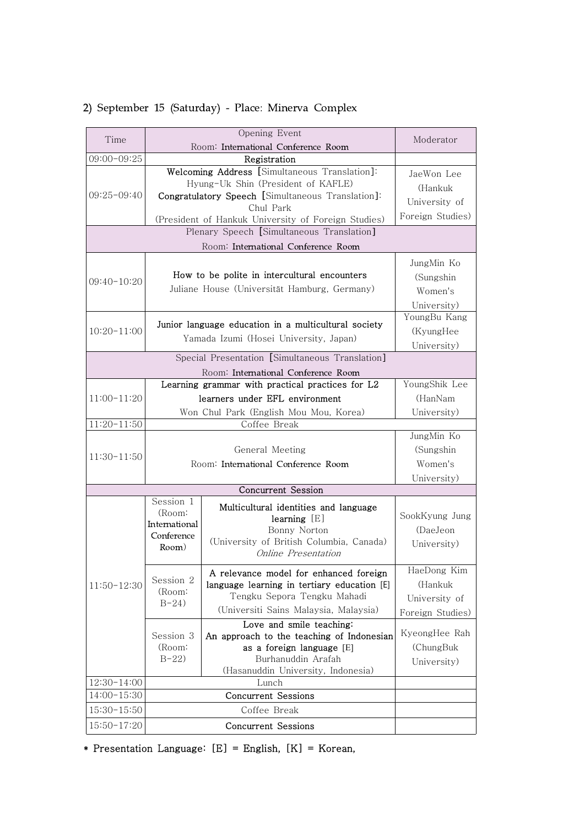| Time            |                                                        | Opening Event                                                         | Moderator                   |
|-----------------|--------------------------------------------------------|-----------------------------------------------------------------------|-----------------------------|
|                 |                                                        | Room: International Conference Room                                   |                             |
| $09:00 - 09:25$ |                                                        | Registration                                                          |                             |
|                 |                                                        | Welcoming Address [Simultaneous Translation]:                         | JaeWon Lee                  |
|                 |                                                        | Hyung-Uk Shin (President of KAFLE)                                    | (Hankuk                     |
| $09:25 - 09:40$ |                                                        | Congratulatory Speech [Simultaneous Translation]:                     | University of               |
|                 |                                                        | Chul Park                                                             | Foreign Studies)            |
|                 |                                                        | (President of Hankuk University of Foreign Studies)                   |                             |
|                 |                                                        | Plenary Speech [Simultaneous Translation]                             |                             |
|                 |                                                        | Room: International Conference Room                                   |                             |
|                 |                                                        |                                                                       | JungMin Ko                  |
|                 |                                                        | How to be polite in intercultural encounters                          | (Sungshin                   |
| $09:40-10:20$   |                                                        | Juliane House (Universität Hamburg, Germany)                          | Women's                     |
|                 |                                                        |                                                                       |                             |
|                 |                                                        |                                                                       | University)<br>YoungBu Kang |
|                 |                                                        | Junior language education in a multicultural society                  |                             |
| $10:20 - 11:00$ |                                                        | Yamada Izumi (Hosei University, Japan)                                | (KyungHee                   |
|                 |                                                        |                                                                       | University)                 |
|                 |                                                        | Special Presentation [Simultaneous Translation]                       |                             |
|                 |                                                        | Room: International Conference Room                                   |                             |
|                 |                                                        | Learning grammar with practical practices for L2                      | YoungShik Lee               |
| $11:00-11:20$   |                                                        | learners under EFL environment                                        | (HanNam                     |
|                 |                                                        | Won Chul Park (English Mou Mou, Korea)                                | University)                 |
| $11:20-11:50$   |                                                        | Coffee Break                                                          |                             |
|                 | General Meeting<br>Room: International Conference Room |                                                                       | JungMin Ko                  |
| $11:30-11:50$   |                                                        |                                                                       | (Sungshin                   |
|                 |                                                        |                                                                       | Women's                     |
|                 |                                                        |                                                                       | University)                 |
|                 |                                                        | <b>Concurrent Session</b>                                             |                             |
|                 | Session 1                                              | Multicultural identities and language                                 |                             |
|                 | (Room:                                                 | learning $[E]$                                                        | SookKyung Jung              |
|                 | International                                          | Bonny Norton                                                          | (DaeJeon                    |
|                 | Conference<br>Room)                                    | (University of British Columbia, Canada)                              | University)                 |
|                 |                                                        | Online Presentation                                                   |                             |
|                 |                                                        | A relevance model for enhanced foreign                                | HaeDong Kim                 |
| $11:50-12:30$   | Session 2                                              | language learning in tertiary education [E]                           | (Hankuk                     |
|                 | (Room:                                                 | Tengku Sepora Tengku Mahadi                                           | University of               |
|                 | $B-24$                                                 | (Universiti Sains Malaysia, Malaysia)                                 |                             |
|                 |                                                        |                                                                       | Foreign Studies)            |
|                 | Session 3                                              | Love and smile teaching:<br>An approach to the teaching of Indonesian | KyeongHee Rah               |
|                 | (Room:                                                 | as a foreign language [E]                                             | (ChungBuk                   |
|                 | $B-22$                                                 | Burhanuddin Arafah                                                    | University)                 |
|                 |                                                        | (Hasanuddin University, Indonesia)                                    |                             |
| $12:30-14:00$   |                                                        | Lunch                                                                 |                             |
| $14:00 - 15:30$ |                                                        | <b>Concurrent Sessions</b>                                            |                             |
| $15:30-15:50$   |                                                        | Coffee Break                                                          |                             |
| $15:50-17:20$   |                                                        | Concurrent Sessions                                                   |                             |
|                 |                                                        |                                                                       |                             |

## 2) September 15 (Saturday) - Place: Minerva Complex

\* Presentation Language: [E] = English, [K] = Korean,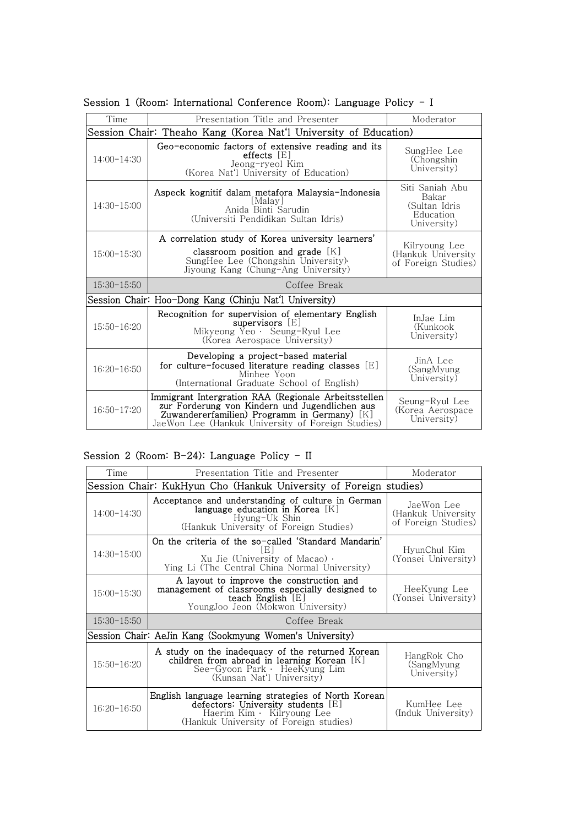| Time                                                             | Presentation Title and Presenter                                                                                                                                                                            | Moderator                                                             |  |  |
|------------------------------------------------------------------|-------------------------------------------------------------------------------------------------------------------------------------------------------------------------------------------------------------|-----------------------------------------------------------------------|--|--|
| Session Chair: Theaho Kang (Korea Nat'l University of Education) |                                                                                                                                                                                                             |                                                                       |  |  |
| $14:00-14:30$                                                    | Geo-economic factors of extensive reading and its<br>$effects$ $ E $<br>Jeong-ryeol Kim<br>(Korea Nat'l University of Education)                                                                            | SungHee Lee<br>(Chongshin)<br>University)                             |  |  |
| $14:30-15:00$                                                    | Aspeck kognitif dalam metafora Malaysia-Indonesia<br> Malay <br>Anida Binti Sarudin<br>(Universiti Pendidikan Sultan Idris)                                                                                 | Siti Saniah Abu<br>Bakar<br>(Sultan Idris<br>Education<br>University) |  |  |
| $15:00-15:30$                                                    | A correlation study of Korea university learners'<br>classroom position and grade $[K]$<br>SungHee Lee (Chongshin University).<br>Jiyoung Kang (Chung-Ang University)                                       | Kilryoung Lee<br>(Hankuk University<br>of Foreign Studies)            |  |  |
| $15:30-15:50$                                                    | Coffee Break                                                                                                                                                                                                |                                                                       |  |  |
|                                                                  | Session Chair: Hoo-Dong Kang (Chinju Nat'l University)                                                                                                                                                      |                                                                       |  |  |
| $15:50 - 16:20$                                                  | Recognition for supervision of elementary English<br>supervisors [E]<br>Mikyeong Yeo · Seung-Ryul Lee<br>(Korea Aerospace University)                                                                       | InJae Lim<br>(Kunkook)<br>University)                                 |  |  |
| $16:20-16:50$                                                    | Developing a project-based material<br>for culture-focused literature reading classes $[E]$<br>Minhee Yoon<br>(International Graduate School of English)                                                    | JinA Lee<br>(SangMyung<br>University)                                 |  |  |
| $16:50-17:20$                                                    | Immigrant Intergration RAA (Regionale Arbeitsstellen<br>zur Forderung von Kindern und Jugendlichen aus<br>Zuwandererfamilien) Programm in Germany) [K]<br>JaeWon Lee (Hankuk University of Foreign Studies) | Seung-Ryul Lee<br>(Korea Aerospace<br>University)                     |  |  |

Session 1 (Room: International Conference Room): Language Policy - I

### Session 2 (Room: B-24): Language Policy - II

| Time            | Presentation Title and Presenter                                                                                                                                   | Moderator                                               |
|-----------------|--------------------------------------------------------------------------------------------------------------------------------------------------------------------|---------------------------------------------------------|
|                 | Session Chair: KukHyun Cho (Hankuk University of Foreign studies)                                                                                                  |                                                         |
| $14:00-14:30$   | Acceptance and understanding of culture in German<br>language education in Korea $[K]$<br>Hyung-Uk Shin<br>(Hankuk University of Foreign Studies)                  | JaeWon Lee<br>(Hankuk University<br>of Foreign Studies) |
| 14:30-15:00     | On the criteria of the so-called 'Standard Mandarin'<br>E.<br>Xu Jie (University of Macao) $\cdot$<br>Ying Li (The Central China Normal University)                | HyunChul Kim<br>(Yonsei University)                     |
| $15:00 - 15:30$ | A layout to improve the construction and<br>management of classrooms especially designed to<br>teach English $[E]$<br>YoungJoo Jeon (Mokwon University)            | HeeKyung Lee<br>(Yonsei University)                     |
| $15:30-15:50$   | Coffee Break                                                                                                                                                       |                                                         |
|                 | Session Chair: AeJin Kang (Sookmyung Women's University)                                                                                                           |                                                         |
| $15:50 - 16:20$ | A study on the inadequacy of the returned Korean<br>children from abroad in learning Korean $[K]$<br>See-Gyoon Park · HeeKyung Lim<br>(Kunsan Nat'l University)    | HangRok Cho<br>(SangMyung)<br>University)               |
| $16:20-16:50$   | English language learning strategies of North Korean<br>defectors: University students [E]<br>Haerim Kim · Kilryoung Lee<br>(Hankuk University of Foreign studies) | KumHee Lee<br>(Induk University)                        |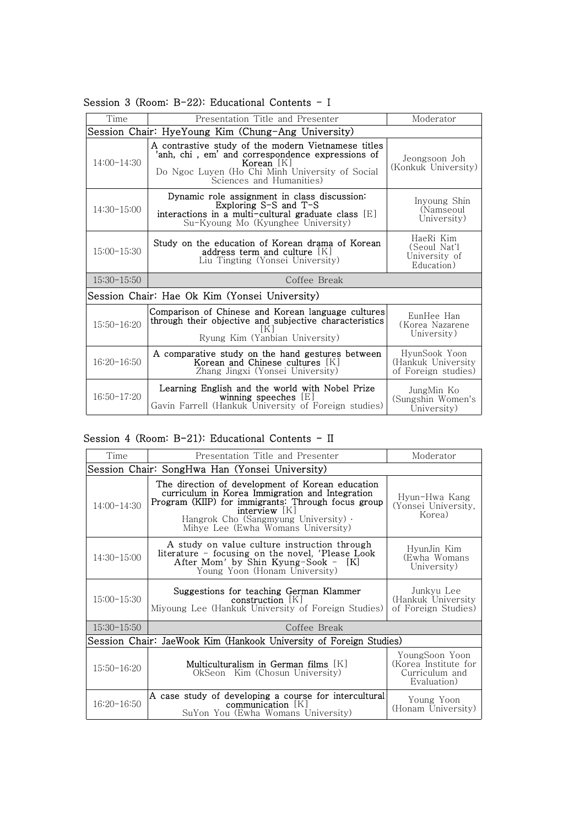| Time            | Presentation Title and Presenter                                                                                                                                                                     | Moderator                                                  |  |
|-----------------|------------------------------------------------------------------------------------------------------------------------------------------------------------------------------------------------------|------------------------------------------------------------|--|
|                 | Session Chair: HyeYoung Kim (Chung-Ang University)                                                                                                                                                   |                                                            |  |
| $14:00-14:30$   | A contrastive study of the modern Vietnamese titles<br>'anh, chi, em' and correspondence expressions of<br>Korean [K]<br>Do Ngoc Luyen (Ho Chi Minh University of Social<br>Sciences and Humanities) | Jeongsoon Joh<br>(Konkuk University)                       |  |
| $14:30-15:00$   | Dynamic role assignment in class discussion:<br>Exploring $S-S$ and $T-S$<br>interactions in a multi-cultural graduate class $[E]$<br>Su-Kyoung Mo (Kyunghee University)                             | Inyoung Shin<br>(Namseoul<br>University)                   |  |
| $15:00-15:30$   | Study on the education of Korean drama of Korean<br>address term and culture $[K]$<br>Liu Tingting (Yonsei University)                                                                               | HaeRi Kim<br>(Seoul Nat'l<br>University of<br>Education)   |  |
| $15:30-15:50$   | Coffee Break                                                                                                                                                                                         |                                                            |  |
|                 | Session Chair: Hae Ok Kim (Yonsei University)                                                                                                                                                        |                                                            |  |
| $15:50-16:20$   | Comparison of Chinese and Korean language cultures<br>through their objective and subjective characteristics<br>IK I<br>Ryung Kim (Yanbian University)                                               | EunHee Han<br>(Korea Nazarene<br>University)               |  |
| $16:20 - 16:50$ | A comparative study on the hand gestures between<br>Korean and Chinese cultures [K]<br>Zhang Jingxi (Yonsei University)                                                                              | HyunSook Yoon<br>(Hankuk University<br>of Foreign studies) |  |
| $16:50-17:20$   | Learning English and the world with Nobel Prize<br>winning speeches $[E]$<br>Gavin Farrell (Hankuk University of Foreign studies)                                                                    | JungMin Ko<br>(Sungshin Women's<br>University)             |  |

Session 3 (Room: B-22): Educational Contents - I

#### Session 4 (Room: B-21): Educational Contents - II

| Time          | Presentation Title and Presenter                                                                                                                                                                                                                                 | Moderator                                                               |
|---------------|------------------------------------------------------------------------------------------------------------------------------------------------------------------------------------------------------------------------------------------------------------------|-------------------------------------------------------------------------|
|               | Session Chair: SongHwa Han (Yonsei University)                                                                                                                                                                                                                   |                                                                         |
| $14:00-14:30$ | The direction of development of Korean education<br>curriculum in Korea Immigration and Integration<br>Program (KIIP) for immigrants: Through focus group<br>interview   K  <br>Hangrok Cho (Sangmyung University) $\cdot$<br>Mihye Lee (Ewha Womans University) | Hyun-Hwa Kang<br>(Yonsei University,<br>Korea)                          |
| $14:30-15:00$ | A study on value culture instruction through<br>literature - focusing on the novel, 'Please Look<br>After Mom' by Shin Kyung-Sook -<br>- IKI<br>Young Yoon (Honam University)                                                                                    | HyunJin Kim<br>(Ewha Womans<br>University)                              |
| $15:00-15:30$ | Suggestions for teaching German Klammer<br>$construction$ [K]<br>Miyoung Lee (Hankuk University of Foreign Studies)                                                                                                                                              | Junkyu Lee<br>(Hankuk University<br>of Foreign Studies)                 |
| $15:30-15:50$ | Coffee Break                                                                                                                                                                                                                                                     |                                                                         |
|               | Session Chair: JaeWook Kim (Hankook University of Foreign Studies)                                                                                                                                                                                               |                                                                         |
| $15:50-16:20$ | Multiculturalism in German films $[K]$<br>OkSeon Kim (Chosun University)                                                                                                                                                                                         | YoungSoon Yoon<br>(Korea Institute for<br>Curriculum and<br>Evaluation) |
| $16:20-16:50$ | A case study of developing a course for intercultural<br>communication $[K]$<br>SuYon You (Ewha Womans University)                                                                                                                                               | Young Yoon<br>(Honam University)                                        |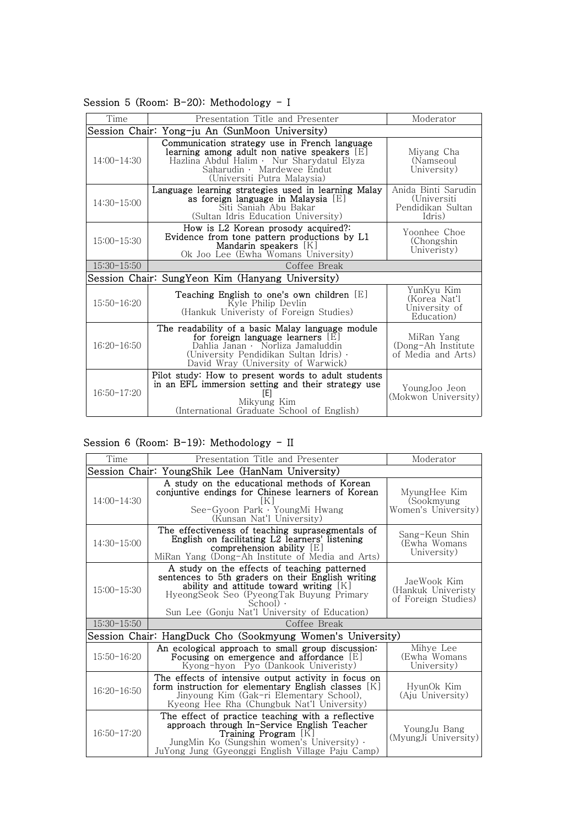| Time                                           | Presentation Title and Presenter                                                                                                                                                                           | Moderator                                                         |  |
|------------------------------------------------|------------------------------------------------------------------------------------------------------------------------------------------------------------------------------------------------------------|-------------------------------------------------------------------|--|
| Session Chair: Yong-ju An (SunMoon University) |                                                                                                                                                                                                            |                                                                   |  |
| $14:00-14:30$                                  | Communication strategy use in French language<br>learning among adult non native speakers [E]<br>Hazlina Abdul Halim · Nur Sharydatul Elyza<br>Saharudin · Mardewee Endut<br>(Universiti Putra Malaysia)   | Miyang Cha<br>(Namseoul<br>University)                            |  |
| $14:30-15:00$                                  | Language learning strategies used in learning Malay<br>as foreign language in Malaysia [E]<br>Siti Saniah Abu Bakar<br>(Sultan Idris Education University)                                                 | Anida Binti Sarudin<br>(Universiti<br>Pendidikan Sultan<br>Idris) |  |
| $15:00 - 15:30$                                | How is L2 Korean prosody acquired?:<br>Evidence from tone pattern productions by L1<br>Mandarin speakers [K]<br>Ok Joo Lee (Ewha Womans University)                                                        | Yoonhee Choe<br>(Chongshin)<br>Univeristy)                        |  |
| $15:30-15:50$                                  | Coffee Break                                                                                                                                                                                               |                                                                   |  |
|                                                | Session Chair: SungYeon Kim (Hanyang University)                                                                                                                                                           |                                                                   |  |
| $15:50 - 16:20$                                | Teaching English to one's own children [E]<br>Kyle Philip Devlin<br>(Hankuk Univeristy of Foreign Studies)                                                                                                 | YunKyu Kim<br>(Korea Nat'l<br>University of<br>Education)         |  |
| $16:20-16:50$                                  | The readability of a basic Malay language module<br>for foreign language learners [E]<br>Dahlia Janan · Norliza Jamaluddin<br>(University Pendidikan Sultan Idris) .<br>David Wray (University of Warwick) | MiRan Yang<br>(Dong-Ah Institute)<br>of Media and Arts)           |  |
| $16:50-17:20$                                  | Pilot study: How to present words to adult students<br>in an EFL immersion setting and their strategy use<br>[E]<br>Mikyung Kim<br>(International Graduate School of English)                              | YoungJoo Jeon<br>(Mokwon University)                              |  |

Session 5 (Room: B-20): Methodology - I

#### Session 6 (Room: B-19): Methodology - II

| Time            | Presentation Title and Presenter                                                                                                                                                                                                                           | Moderator                                                |
|-----------------|------------------------------------------------------------------------------------------------------------------------------------------------------------------------------------------------------------------------------------------------------------|----------------------------------------------------------|
|                 | Session Chair: YoungShik Lee (HanNam University)                                                                                                                                                                                                           |                                                          |
| $14:00-14:30$   | A study on the educational methods of Korean<br>conjuntive endings for Chinese learners of Korean<br>K<br>See-Gyoon Park · YoungMi Hwang<br>(Kunsan Nat'l University)                                                                                      | MyungHee Kim<br>(Sookmyung<br>Women's University)        |
| $14:30-15:00$   | The effectiveness of teaching suprasegmentals of<br>English on facilitating L2 learners' listening<br>comprehension ability $ E $<br>MiRan Yang (Dong-Ah Institute of Media and Arts)                                                                      | Sang-Keun Shin<br>(Ewha Womans)<br>University)           |
| $15:00 - 15:30$ | A study on the effects of teaching patterned<br>sentences to 5th graders on their English writing<br>ability and attitude toward writing $[K]$<br>HyeongSeok Seo (PyeongTak Buyung Primary<br>$School$ ).<br>Sun Lee (Gonju Nat'l University of Education) | JaeWook Kim<br>(Hankuk Univeristy<br>of Foreign Studies) |
| $15:30-15:50$   | Coffee Break                                                                                                                                                                                                                                               |                                                          |
|                 | Session Chair: HangDuck Cho (Sookmyung Women's University)                                                                                                                                                                                                 |                                                          |
| $15:50-16:20$   | An ecological approach to small group discussion:<br>Focusing on emergence and affordance [E]<br>Kyong-hyon Pyo (Dankook Univeristy)                                                                                                                       | Mihye Lee<br>(Ewha Womans<br>University)                 |
| $16:20-16:50$   | The effects of intensive output activity in focus on<br>form instruction for elementary English classes $[K]$<br>Jinyoung Kim (Gak-ri Elementary School),<br>Kyeong Hee Rha (Chungbuk Nat'l University)                                                    | HyunOk Kim<br>(Aju University)                           |
| $16:50-17:20$   | The effect of practice teaching with a reflective<br>approach through In-Service English Teacher<br><b>Training Program</b> [K]<br>JungMin Ko (Sungshin women's University) .<br>JuYong Jung (Gyeonggi English Village Paju Camp)                          | YoungJu Bang<br>(MyungJi University)                     |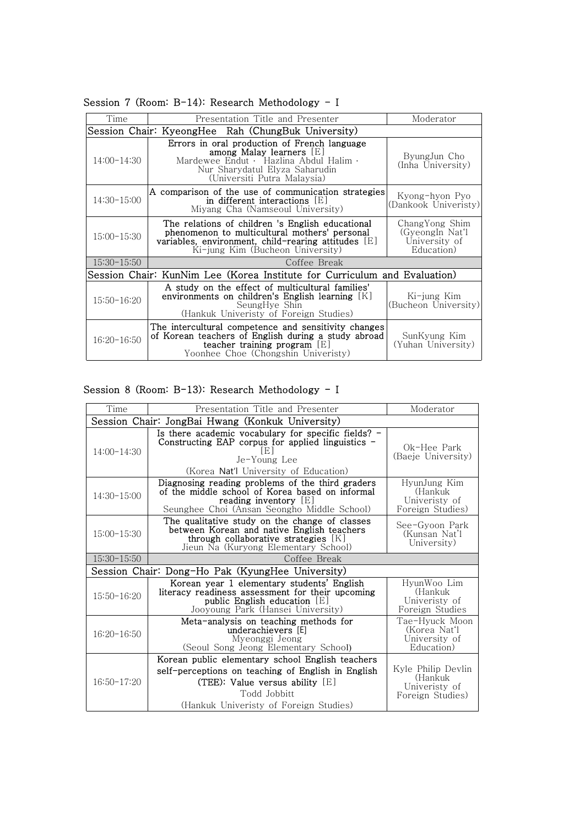| Time            | Presentation Title and Presenter                                                                                                                                                               | Moderator                                                        |  |  |
|-----------------|------------------------------------------------------------------------------------------------------------------------------------------------------------------------------------------------|------------------------------------------------------------------|--|--|
|                 | Session Chair: KyeongHee Rah (ChungBuk University)                                                                                                                                             |                                                                  |  |  |
| $14:00-14:30$   | Errors in oral production of French language<br>among Malay learners $[E]$<br>Mardewee Endut · Hazlina Abdul Halim ·<br>Nur Sharydatul Elyza Saharudin<br>(Universiti Putra Malaysia)          | ByungJun Cho<br>(Inha University)                                |  |  |
| $14:30-15:00$   | A comparison of the use of communication strategies<br>in different interactions [E]<br>Miyang Cha (Namseoul University)                                                                       | Kyong-hyon Pyo<br>(Dankook Univeristy)                           |  |  |
| $15:00 - 15:30$ | The relations of children 's English educational<br>phenomenon to multicultural mothers' personal<br>variables, environment, child-rearing attitudes $[E]$<br>Ki-jung Kim (Bucheon University) | ChangYong Shim<br>(GyeongIn Nat'l<br>University of<br>Education) |  |  |
| $15:30-15:50$   | Coffee Break                                                                                                                                                                                   |                                                                  |  |  |
|                 | Session Chair: KunNim Lee (Korea Institute for Curriculum and Evaluation)                                                                                                                      |                                                                  |  |  |
| $15:50 - 16:20$ | A study on the effect of multicultural families'<br>environments on children's English learning $[K]$<br>SeungHye Shin<br>(Hankuk Univeristy of Foreign Studies)                               | Ki-jung Kim<br>(Bucheon University)                              |  |  |
| $16:20-16:50$   | The intercultural competence and sensitivity changes<br>of Korean teachers of English during a study abroad<br>teacher training program $[E]$<br>Yoonhee Choe (Chongshin Univeristy)           | SunKyung Kim<br>(Yuhan University)                               |  |  |
|                 |                                                                                                                                                                                                |                                                                  |  |  |

Session 7 (Room: B-14): Research Methodology - I

## Session 8 (Room: B-13): Research Methodology - I

| Time            | Presentation Title and Presenter                                                                                                                                                                      | Moderator                                                          |
|-----------------|-------------------------------------------------------------------------------------------------------------------------------------------------------------------------------------------------------|--------------------------------------------------------------------|
|                 | Session Chair: JongBai Hwang (Konkuk University)                                                                                                                                                      |                                                                    |
| $14:00-14:30$   | Is there academic vocabulary for specific fields? $-$<br>Constructing EAP corpus for applied linguistics -<br>IEI<br>Je-Young Lee<br>(Korea Nat'l University of Education)                            | Ok-Hee Park<br>(Baeje University)                                  |
| $14:30-15:00$   | Diagnosing reading problems of the third graders<br>of the middle school of Korea based on informal<br>reading inventory $[E]$<br>Seunghee Choi (Ansan Seongho Middle School)                         | HyunJung Kim<br>(Hankuk<br>Univeristy of<br>Foreign Studies)       |
| $15:00 - 15:30$ | The qualitative study on the change of classes<br>between Korean and native English teachers<br>through collaborative strategies $[K]$<br>Jieun Na (Kuryong Elementary School)                        | See-Gyoon Park<br>(Kunsan Nat'l<br>University)                     |
| $15:30-15:50$   | Coffee Break                                                                                                                                                                                          |                                                                    |
|                 | Session Chair: Dong-Ho Pak (KyungHee University)                                                                                                                                                      |                                                                    |
| $15:50 - 16:20$ | Korean year 1 elementary students' English<br>literacy readiness assessment for their upcoming<br>public English education $[E]$<br>Jooyoung Park (Hansei University)                                 | HyunWoo Lim<br>(Hankuk<br>Univeristy of<br>Foreign Studies         |
| $16:20 - 16:50$ | Meta-analysis on teaching methods for<br>underachievers [E]<br>Myeonggi Jeong<br>(Seoul Song Jeong Elementary School)                                                                                 | Tae-Hyuck Moon<br>(Korea Nat'l<br>University of<br>Education)      |
| $16:50-17:20$   | Korean public elementary school English teachers<br>self-perceptions on teaching of English in English<br>(TEE): Value versus ability $[E]$<br>Todd Jobbitt<br>(Hankuk Univeristy of Foreign Studies) | Kyle Philip Devlin<br>(Hankuk<br>Univeristy of<br>Foreign Studies) |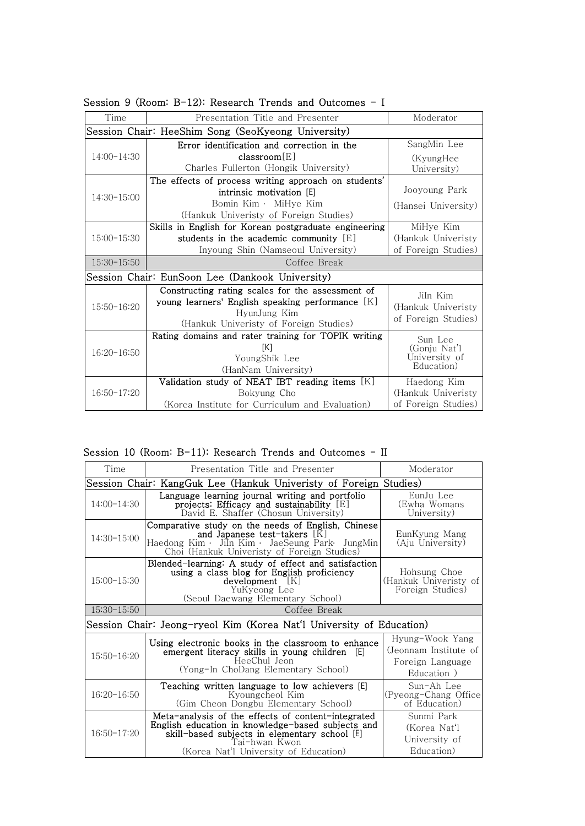| Time            | Presentation Title and Presenter                                                                                                                               | Moderator                                             |
|-----------------|----------------------------------------------------------------------------------------------------------------------------------------------------------------|-------------------------------------------------------|
|                 | Session Chair: HeeShim Song (SeoKyeong University)                                                                                                             |                                                       |
|                 | Error identification and correction in the                                                                                                                     | SangMin Lee                                           |
| $14:00-14:30$   | classroom[E]                                                                                                                                                   | (KyungHee                                             |
|                 | Charles Fullerton (Hongik University)                                                                                                                          | University)                                           |
|                 | The effects of process writing approach on students'                                                                                                           |                                                       |
| $14:30-15:00$   | intrinsic motivation [E]                                                                                                                                       | Jooyoung Park                                         |
|                 | Bomin Kim · MiHye Kim                                                                                                                                          | (Hansei University)                                   |
|                 | (Hankuk Univeristy of Foreign Studies)                                                                                                                         |                                                       |
|                 | Skills in English for Korean postgraduate engineering                                                                                                          | MiHye Kim                                             |
| $15:00 - 15:30$ | students in the academic community $[E]$                                                                                                                       | (Hankuk Univeristy                                    |
|                 | Inyoung Shin (Namseoul University)                                                                                                                             | of Foreign Studies)                                   |
| $15:30-15:50$   | Coffee Break                                                                                                                                                   |                                                       |
|                 | Session Chair: EunSoon Lee (Dankook University)                                                                                                                |                                                       |
| $15:50-16:20$   | Constructing rating scales for the assessment of<br>young learners' English speaking performance [K]<br>HyunJung Kim<br>(Hankuk Univeristy of Foreign Studies) | JiIn Kim<br>(Hankuk Univeristy<br>of Foreign Studies) |
|                 | Rating domains and rater training for TOPIK writing                                                                                                            | Sun Lee                                               |
| $16:20 - 16:50$ | [K]                                                                                                                                                            | (Gonju Nat'l                                          |
|                 | YoungShik Lee                                                                                                                                                  | University of<br>Education)                           |
|                 | (HanNam University)                                                                                                                                            |                                                       |
|                 | Validation study of NEAT IBT reading items $[K]$                                                                                                               | Haedong Kim                                           |
| $16:50-17:20$   | Bokyung Cho                                                                                                                                                    | (Hankuk Univeristy                                    |
|                 | (Korea Institute for Curriculum and Evaluation)                                                                                                                | of Foreign Studies)                                   |

Session 9 (Room: B-12): Research Trends and Outcomes - I

Session 10 (Room: B-11): Research Trends and Outcomes - II

| Time            | Presentation Title and Presenter                                                                                                                                                                                   | Moderator                                                                   |  |
|-----------------|--------------------------------------------------------------------------------------------------------------------------------------------------------------------------------------------------------------------|-----------------------------------------------------------------------------|--|
|                 | Session Chair: KangGuk Lee (Hankuk Univeristy of Foreign Studies)                                                                                                                                                  |                                                                             |  |
| $14:00-14:30$   | Language learning journal writing and portfolio<br>projects: Efficacy and sustainability [E]<br>David E. Shaffer (Chosun University)                                                                               | EunJu Lee<br>(Ewha Womans<br>University)                                    |  |
| $14:30-15:00$   | Comparative study on the needs of English, Chinese<br>and Japanese test-takers $[K]$<br>Haedong Kim · JiIn Kim · JaeSeung Park· JungMin<br>Choi (Hankuk Univeristy of Foreign Studies)                             | EunKyung Mang<br>(Aju University)                                           |  |
| $15:00 - 15:30$ | Blended-learning: A study of effect and satisfaction<br>using a class blog for English proficiency<br>$development$ [K]<br>YuKyeong Lee<br>(Seoul Daewang Elementary School)                                       | Hohsung Choe<br>(Hankuk Univeristy of<br>Foreign Studies)                   |  |
| $15:30-15:50$   | Coffee Break                                                                                                                                                                                                       |                                                                             |  |
|                 | Session Chair: Jeong-ryeol Kim (Korea Nat'l University of Education)                                                                                                                                               |                                                                             |  |
| $15:50-16:20$   | Using electronic books in the classroom to enhance<br>emergent literacy skills in young children [E]<br>HeeChul Jeon<br>(Yong-In ChoDang Elementary School)                                                        | Hyung-Wook Yang<br>(Jeonnam Institute of<br>Foreign Language<br>Education ) |  |
| $16:20-16:50$   | Teaching written language to low achievers [E]<br>Kyoungcheol Kim<br>(Gim Cheon Dongbu Elementary School)                                                                                                          | Sun-Ah Lee<br>(Pyeong-Chang Office<br>of Education)                         |  |
| $16:50-17:20$   | Meta-analysis of the effects of content-integrated<br>English education in knowledge-based subjects and<br>skill-based subjects in elementary school [E]<br>Tai-hwan Kwon<br>(Korea Nat'l University of Education) | Sunmi Park<br>(Korea Nat'l<br>University of<br>Education)                   |  |